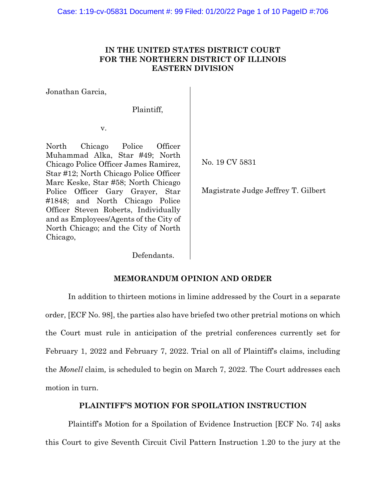# **IN THE UNITED STATES DISTRICT COURT FOR THE NORTHERN DISTRICT OF ILLINOIS EASTERN DIVISION**

Jonathan Garcia,

Plaintiff,

v.

North Chicago Police Officer Muhammad Alka, Star #49; North Chicago Police Officer James Ramirez, Star #12; North Chicago Police Officer Marc Keske, Star #58; North Chicago Police Officer Gary Grayer, Star #1848; and North Chicago Police Officer Steven Roberts, Individually and as Employees/Agents of the City of North Chicago; and the City of North Chicago,

No. 19 CV 5831

Magistrate Judge Jeffrey T. Gilbert

Defendants.

# **MEMORANDUM OPINION AND ORDER**

In addition to thirteen motions in limine addressed by the Court in a separate order, [ECF No. 98], the parties also have briefed two other pretrial motions on which the Court must rule in anticipation of the pretrial conferences currently set for February 1, 2022 and February 7, 2022. Trial on all of Plaintiff's claims, including the *Monell* claim*,* is scheduled to begin on March 7, 2022. The Court addresses each motion in turn.

# **PLAINTIFF'S MOTION FOR SPOILATION INSTRUCTION**

Plaintiff's Motion for a Spoilation of Evidence Instruction [ECF No. 74] asks this Court to give Seventh Circuit Civil Pattern Instruction 1.20 to the jury at the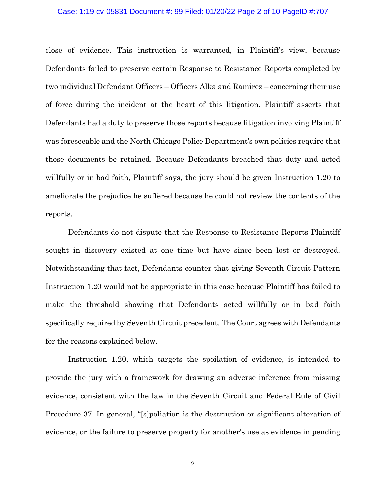#### Case: 1:19-cv-05831 Document #: 99 Filed: 01/20/22 Page 2 of 10 PageID #:707

close of evidence. This instruction is warranted, in Plaintiff's view, because Defendants failed to preserve certain Response to Resistance Reports completed by two individual Defendant Officers – Officers Alka and Ramirez – concerning their use of force during the incident at the heart of this litigation. Plaintiff asserts that Defendants had a duty to preserve those reports because litigation involving Plaintiff was foreseeable and the North Chicago Police Department's own policies require that those documents be retained. Because Defendants breached that duty and acted willfully or in bad faith, Plaintiff says, the jury should be given Instruction 1.20 to ameliorate the prejudice he suffered because he could not review the contents of the reports.

Defendants do not dispute that the Response to Resistance Reports Plaintiff sought in discovery existed at one time but have since been lost or destroyed. Notwithstanding that fact, Defendants counter that giving Seventh Circuit Pattern Instruction 1.20 would not be appropriate in this case because Plaintiff has failed to make the threshold showing that Defendants acted willfully or in bad faith specifically required by Seventh Circuit precedent. The Court agrees with Defendants for the reasons explained below.

Instruction 1.20, which targets the spoilation of evidence, is intended to provide the jury with a framework for drawing an adverse inference from missing evidence, consistent with the law in the Seventh Circuit and Federal Rule of Civil Procedure 37. In general, "[s]poliation is the destruction or significant alteration of evidence, or the failure to preserve property for another's use as evidence in pending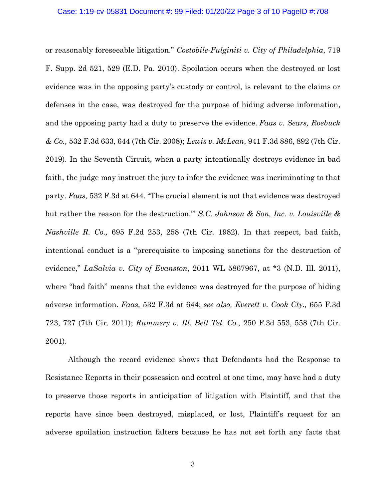or reasonably foreseeable litigation." *Costobile-Fulginiti v. City of Philadelphia*, 719 F. Supp. 2d 521, 529 (E.D. Pa. 2010). Spoilation occurs when the destroyed or lost evidence was in the opposing party's custody or control, is relevant to the claims or defenses in the case, was destroyed for the purpose of hiding adverse information, and the opposing party had a duty to preserve the evidence. *Faas v. Sears, Roebuck & Co.,* 532 F.3d 633, 644 (7th Cir. 2008); *Lewis v. McLean*, 941 F.3d 886, 892 (7th Cir. 2019). In the Seventh Circuit, when a party intentionally destroys evidence in bad faith, the judge may instruct the jury to infer the evidence was incriminating to that party. *Faas,* 532 F.3d at 644. "The crucial element is not that evidence was destroyed but rather the reason for the destruction.'" *S.C. Johnson & Son, Inc. v. Louisville & Nashville R. Co.,* 695 F.2d 253, 258 (7th Cir. 1982). In that respect, bad faith, intentional conduct is a "prerequisite to imposing sanctions for the destruction of evidence," *LaSalvia v. City of Evanston*, 2011 WL 5867967, at \*3 (N.D. Ill. 2011), where "bad faith" means that the evidence was destroyed for the purpose of hiding adverse information. *Faas,* 532 F.3d at 644; *see also, Everett v. Cook Cty.,* 655 F.3d 723, 727 (7th Cir. 2011); *Rummery v. Ill. Bell Tel. Co.,* 250 F.3d 553, 558 (7th Cir. 2001).

Although the record evidence shows that Defendants had the Response to Resistance Reports in their possession and control at one time, may have had a duty to preserve those reports in anticipation of litigation with Plaintiff, and that the reports have since been destroyed, misplaced, or lost, Plaintiff's request for an adverse spoilation instruction falters because he has not set forth any facts that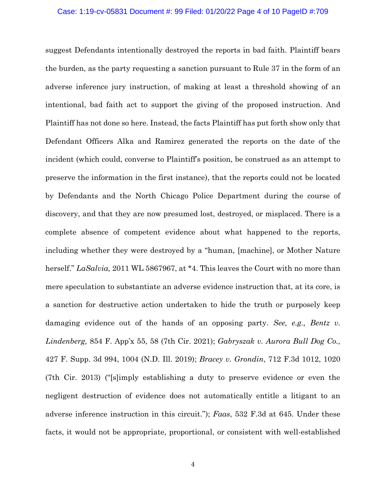#### Case: 1:19-cv-05831 Document #: 99 Filed: 01/20/22 Page 4 of 10 PageID #:709

suggest Defendants intentionally destroyed the reports in bad faith. Plaintiff bears the burden, as the party requesting a sanction pursuant to Rule 37 in the form of an adverse inference jury instruction, of making at least a threshold showing of an intentional, bad faith act to support the giving of the proposed instruction. And Plaintiff has not done so here. Instead, the facts Plaintiff has put forth show only that Defendant Officers Alka and Ramirez generated the reports on the date of the incident (which could, converse to Plaintiff's position, be construed as an attempt to preserve the information in the first instance), that the reports could not be located by Defendants and the North Chicago Police Department during the course of discovery, and that they are now presumed lost, destroyed, or misplaced. There is a complete absence of competent evidence about what happened to the reports, including whether they were destroyed by a "human, [machine], or Mother Nature herself." *LaSalvia,* 2011 WL 5867967, at \*4. This leaves the Court with no more than mere speculation to substantiate an adverse evidence instruction that, at its core, is a sanction for destructive action undertaken to hide the truth or purposely keep damaging evidence out of the hands of an opposing party. *See, e.g., Bentz v. Lindenberg,* 854 F. App'x 55, 58 (7th Cir. 2021); *Gabryszak v. Aurora Bull Dog Co.,* 427 F. Supp. 3d 994, 1004 (N.D. Ill. 2019); *Bracey v. Grondin*, 712 F.3d 1012, 1020 (7th Cir. 2013) ("[s]imply establishing a duty to preserve evidence or even the negligent destruction of evidence does not automatically entitle a litigant to an adverse inference instruction in this circuit."); *Faas*, 532 F.3d at 645. Under these facts, it would not be appropriate, proportional, or consistent with well-established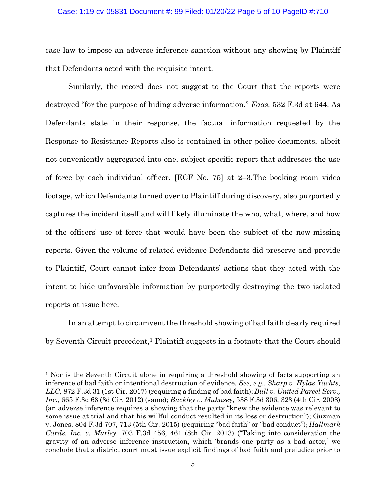### Case: 1:19-cv-05831 Document #: 99 Filed: 01/20/22 Page 5 of 10 PageID #:710

case law to impose an adverse inference sanction without any showing by Plaintiff that Defendants acted with the requisite intent.

Similarly, the record does not suggest to the Court that the reports were destroyed "for the purpose of hiding adverse information." *Faas,* 532 F.3d at 644. As Defendants state in their response, the factual information requested by the Response to Resistance Reports also is contained in other police documents, albeit not conveniently aggregated into one, subject-specific report that addresses the use of force by each individual officer. [ECF No. 75] at 2–3.The booking room video footage, which Defendants turned over to Plaintiff during discovery, also purportedly captures the incident itself and will likely illuminate the who, what, where, and how of the officers' use of force that would have been the subject of the now-missing reports. Given the volume of related evidence Defendants did preserve and provide to Plaintiff, Court cannot infer from Defendants' actions that they acted with the intent to hide unfavorable information by purportedly destroying the two isolated reports at issue here.

In an attempt to circumvent the threshold showing of bad faith clearly required by Seventh Circuit precedent,<sup>1</sup> Plaintiff suggests in a footnote that the Court should

<sup>1</sup> Nor is the Seventh Circuit alone in requiring a threshold showing of facts supporting an inference of bad faith or intentional destruction of evidence. *See, e.g., Sharp v. Hylas Yachts, LLC,* 872 F.3d 31 (1st Cir. 2017) (requiring a finding of bad faith); *Bull v. United Parcel Serv., Inc.,* 665 F.3d 68 (3d Cir. 2012) (same); *Buckley v. Mukasey*, 538 F.3d 306, 323 (4th Cir. 2008) (an adverse inference requires a showing that the party "knew the evidence was relevant to some issue at trial and that his willful conduct resulted in its loss or destruction"); Guzman v. Jones, 804 F.3d 707, 713 (5th Cir. 2015) (requiring "bad faith" or "bad conduct"); *Hallmark Cards, Inc. v. Murley,* 703 F.3d 456, 461 (8th Cir. 2013) ("Taking into consideration the gravity of an adverse inference instruction, which 'brands one party as a bad actor,' we conclude that a district court must issue explicit findings of bad faith and prejudice prior to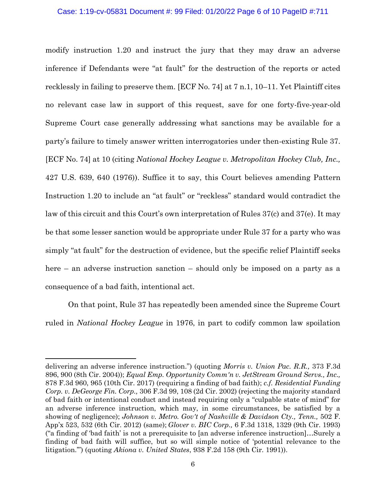### Case: 1:19-cv-05831 Document #: 99 Filed: 01/20/22 Page 6 of 10 PageID #:711

modify instruction 1.20 and instruct the jury that they may draw an adverse inference if Defendants were "at fault" for the destruction of the reports or acted recklessly in failing to preserve them. [ECF No. 74] at 7 n.1, 10–11. Yet Plaintiff cites no relevant case law in support of this request, save for one forty-five-year-old Supreme Court case generally addressing what sanctions may be available for a party's failure to timely answer written interrogatories under then-existing Rule 37. [ECF No. 74] at 10 (citing *National Hockey League v. Metropolitan Hockey Club, Inc.,* 427 U.S. 639, 640 (1976)). Suffice it to say, this Court believes amending Pattern Instruction 1.20 to include an "at fault" or "reckless" standard would contradict the law of this circuit and this Court's own interpretation of Rules 37(c) and 37(e). It may be that some lesser sanction would be appropriate under Rule 37 for a party who was simply "at fault" for the destruction of evidence, but the specific relief Plaintiff seeks here – an adverse instruction sanction – should only be imposed on a party as a consequence of a bad faith, intentional act.

On that point, Rule 37 has repeatedly been amended since the Supreme Court ruled in *National Hockey League* in 1976, in part to codify common law spoilation

delivering an adverse inference instruction.") (quoting *Morris v. Union Pac. R.R.,* 373 F.3d 896, 900 (8th Cir. 2004)); *Equal Emp. Opportunity Comm'n v. JetStream Ground Servs., Inc.,* 878 F.3d 960, 965 (10th Cir. 2017) (requiring a finding of bad faith); *c.f. Residential Funding Corp. v. DeGeorge Fin. Corp.,* 306 F.3d 99, 108 (2d Cir. 2002) (rejecting the majority standard of bad faith or intentional conduct and instead requiring only a "culpable state of mind" for an adverse inference instruction, which may, in some circumstances, be satisfied by a showing of negligence); *Johnson v. Metro. Gov't of Nashville & Davidson Cty., Tenn.,* 502 F. App'x 523, 532 (6th Cir. 2012) (same); *Glover v. BIC Corp.,* 6 F.3d 1318, 1329 (9th Cir. 1993) ("a finding of 'bad faith' is not a prerequisite to [an adverse inference instruction]…Surely a finding of bad faith will suffice, but so will simple notice of 'potential relevance to the litigation.'") (quoting *Akiona v. United States*, 938 F.2d 158 (9th Cir. 1991)).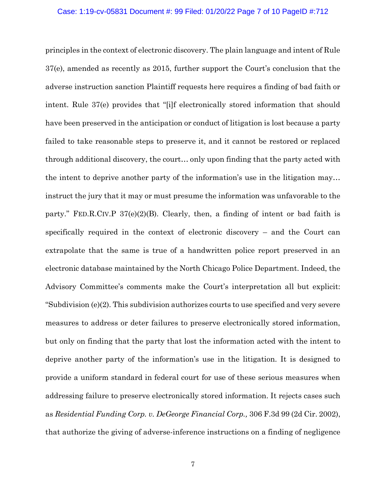### Case: 1:19-cv-05831 Document #: 99 Filed: 01/20/22 Page 7 of 10 PageID #:712

principles in the context of electronic discovery. The plain language and intent of Rule 37(e), amended as recently as 2015, further support the Court's conclusion that the adverse instruction sanction Plaintiff requests here requires a finding of bad faith or intent. Rule 37(e) provides that "[i]f electronically stored information that should have been preserved in the anticipation or conduct of litigation is lost because a party failed to take reasonable steps to preserve it, and it cannot be restored or replaced through additional discovery, the court… only upon finding that the party acted with the intent to deprive another party of the information's use in the litigation may… instruct the jury that it may or must presume the information was unfavorable to the party." FED.R.CIV.P  $37(e)(2)(B)$ . Clearly, then, a finding of intent or bad faith is specifically required in the context of electronic discovery – and the Court can extrapolate that the same is true of a handwritten police report preserved in an electronic database maintained by the North Chicago Police Department. Indeed, the Advisory Committee's comments make the Court's interpretation all but explicit: "Subdivision (e)(2). This subdivision authorizes courts to use specified and very severe measures to address or deter failures to preserve electronically stored information, but only on finding that the party that lost the information acted with the intent to deprive another party of the information's use in the litigation. It is designed to provide a uniform standard in federal court for use of these serious measures when addressing failure to preserve electronically stored information. It rejects cases such as *Residential Funding Corp. v. DeGeorge Financial Corp.,* 306 F.3d 99 (2d Cir. 2002), that authorize the giving of adverse-inference instructions on a finding of negligence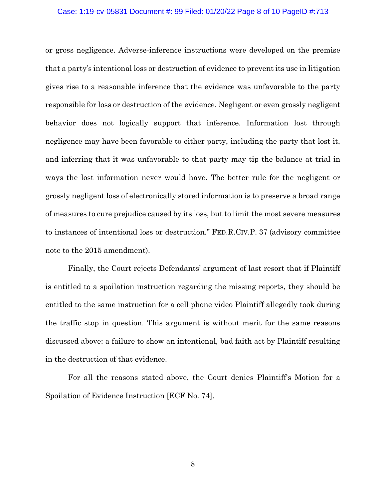### Case: 1:19-cv-05831 Document #: 99 Filed: 01/20/22 Page 8 of 10 PageID #:713

or gross negligence. Adverse-inference instructions were developed on the premise that a party's intentional loss or destruction of evidence to prevent its use in litigation gives rise to a reasonable inference that the evidence was unfavorable to the party responsible for loss or destruction of the evidence. Negligent or even grossly negligent behavior does not logically support that inference. Information lost through negligence may have been favorable to either party, including the party that lost it, and inferring that it was unfavorable to that party may tip the balance at trial in ways the lost information never would have. The better rule for the negligent or grossly negligent loss of electronically stored information is to preserve a broad range of measures to cure prejudice caused by its loss, but to limit the most severe measures to instances of intentional loss or destruction." FED.R.CIV.P. 37 (advisory committee note to the 2015 amendment).

Finally, the Court rejects Defendants' argument of last resort that if Plaintiff is entitled to a spoilation instruction regarding the missing reports, they should be entitled to the same instruction for a cell phone video Plaintiff allegedly took during the traffic stop in question. This argument is without merit for the same reasons discussed above: a failure to show an intentional, bad faith act by Plaintiff resulting in the destruction of that evidence.

For all the reasons stated above, the Court denies Plaintiff's Motion for a Spoilation of Evidence Instruction [ECF No. 74].

8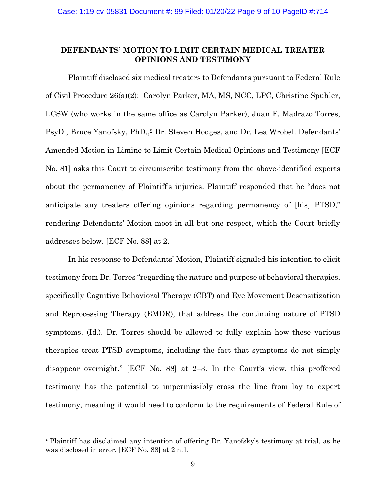# **DEFENDANTS' MOTION TO LIMIT CERTAIN MEDICAL TREATER OPINIONS AND TESTIMONY**

Plaintiff disclosed six medical treaters to Defendants pursuant to Federal Rule of Civil Procedure 26(a)(2): Carolyn Parker, MA, MS, NCC, LPC, Christine Spuhler, LCSW (who works in the same office as Carolyn Parker), Juan F. Madrazo Torres, PsyD., Bruce Yanofsky, PhD., <sup>2</sup> Dr. Steven Hodges, and Dr. Lea Wrobel. Defendants' Amended Motion in Limine to Limit Certain Medical Opinions and Testimony [ECF No. 81] asks this Court to circumscribe testimony from the above-identified experts about the permanency of Plaintiff's injuries. Plaintiff responded that he "does not anticipate any treaters offering opinions regarding permanency of [his] PTSD," rendering Defendants' Motion moot in all but one respect, which the Court briefly addresses below. [ECF No. 88] at 2.

In his response to Defendants' Motion, Plaintiff signaled his intention to elicit testimony from Dr. Torres "regarding the nature and purpose of behavioral therapies, specifically Cognitive Behavioral Therapy (CBT) and Eye Movement Desensitization and Reprocessing Therapy (EMDR), that address the continuing nature of PTSD symptoms. (Id.). Dr. Torres should be allowed to fully explain how these various therapies treat PTSD symptoms, including the fact that symptoms do not simply disappear overnight." [ECF No. 88] at 2–3. In the Court's view, this proffered testimony has the potential to impermissibly cross the line from lay to expert testimony, meaning it would need to conform to the requirements of Federal Rule of

<sup>2</sup> Plaintiff has disclaimed any intention of offering Dr. Yanofsky's testimony at trial, as he was disclosed in error. [ECF No. 88] at 2 n.1.